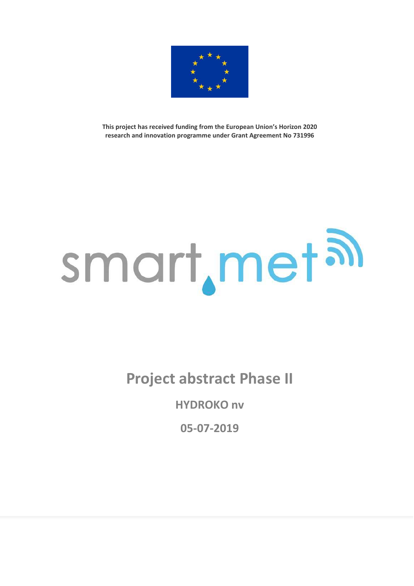

**This project has received funding from the European Union's Horizon 2020 research and innovation programme under Grant Agreement No 731996** 

## smart, met al

**Project abstract Phase II**

**HYDROKO nv** 

**05-07-2019**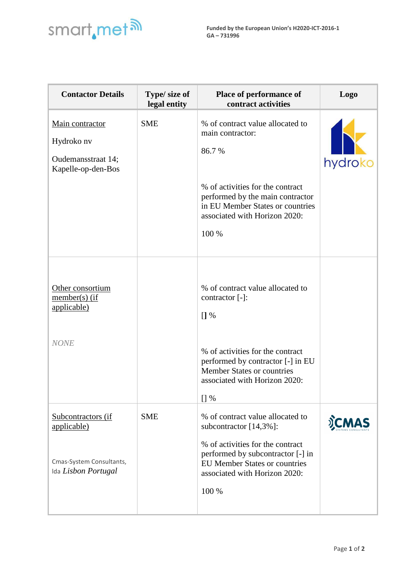

| <b>Contactor Details</b>                                                             | Type/ size of<br>legal entity | Place of performance of<br>contract activities                                                                                                                                                                                    | <b>Logo</b> |
|--------------------------------------------------------------------------------------|-------------------------------|-----------------------------------------------------------------------------------------------------------------------------------------------------------------------------------------------------------------------------------|-------------|
| Main contractor<br>Hydroko nv<br>Oudemansstraat 14;<br>Kapelle-op-den-Bos            | <b>SME</b>                    | % of contract value allocated to<br>main contractor:<br>86.7%<br>% of activities for the contract<br>performed by the main contractor<br>in EU Member States or countries<br>associated with Horizon 2020:<br>100 %               | hydroko     |
| Other consortium<br>$member(s)$ (if<br>applicable)<br><b>NONE</b>                    |                               | % of contract value allocated to<br>contractor [-]:<br>$[]$ %<br>% of activities for the contract<br>performed by contractor [-] in EU<br><b>Member States or countries</b><br>associated with Horizon 2020:<br>$\left[\right]$ % |             |
| Subcontractors (if<br>applicable)<br>Cmas-System Consultants,<br>Ida Lisbon Portugal | <b>SME</b>                    | % of contract value allocated to<br>subcontractor $[14,3\%]$ :<br>% of activities for the contract<br>performed by subcontractor [-] in<br><b>EU Member States or countries</b><br>associated with Horizon 2020:<br>100 %         |             |